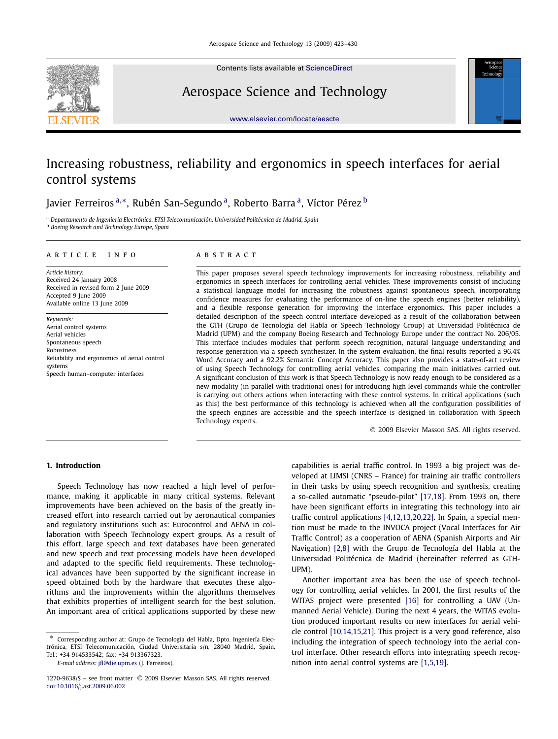

Contents lists available at [ScienceDirect](http://www.ScienceDirect.com/)

Aerospace Science and Technology



[www.elsevier.com/locate/aescte](http://www.elsevier.com/locate/aescte)

# Increasing robustness, reliability and ergonomics in speech interfaces for aerial control systems

## Javier Ferreiros<sup>a,∗</sup>, Rubén San-Segundo<sup>a</sup>, Roberto Barra<sup>a</sup>, Víctor Pérez<sup>b</sup>

<sup>a</sup> *Departamento de Ingeniería Electrónica, ETSI Telecomunicación, Universidad Politécnica de Madrid, Spain* <sup>b</sup> *Boeing Research and Technology Europe, Spain*

#### article info abstract

*Article history:* Received 24 January 2008 Received in revised form 2 June 2009 Accepted 9 June 2009 Available online 13 June 2009

*Keywords:* Aerial control systems Aerial vehicles Spontaneous speech Robustness Reliability and ergonomics of aerial control systems Speech human–computer interfaces

This paper proposes several speech technology improvements for increasing robustness, reliability and ergonomics in speech interfaces for controlling aerial vehicles. These improvements consist of including a statistical language model for increasing the robustness against spontaneous speech, incorporating confidence measures for evaluating the performance of on-line the speech engines (better reliability), and a flexible response generation for improving the interface ergonomics. This paper includes a detailed description of the speech control interface developed as a result of the collaboration between the GTH (Grupo de Tecnología del Habla or Speech Technology Group) at Universidad Politécnica de Madrid (UPM) and the company Boeing Research and Technology Europe under the contract No. 206/05. This interface includes modules that perform speech recognition, natural language understanding and response generation via a speech synthesizer. In the system evaluation, the final results reported a 96.4% Word Accuracy and a 92.2% Semantic Concept Accuracy. This paper also provides a state-of-art review of using Speech Technology for controlling aerial vehicles, comparing the main initiatives carried out. A significant conclusion of this work is that Speech Technology is now ready enough to be considered as a new modality (in parallel with traditional ones) for introducing high level commands while the controller is carrying out others actions when interacting with these control systems. In critical applications (such as this) the best performance of this technology is achieved when all the configuration possibilities of the speech engines are accessible and the speech interface is designed in collaboration with Speech Technology experts.

© 2009 Elsevier Masson SAS. All rights reserved.

#### **1. Introduction**

Speech Technology has now reached a high level of performance, making it applicable in many critical systems. Relevant improvements have been achieved on the basis of the greatly increased effort into research carried out by aeronautical companies and regulatory institutions such as: Eurocontrol and AENA in collaboration with Speech Technology expert groups. As a result of this effort, large speech and text databases have been generated and new speech and text processing models have been developed and adapted to the specific field requirements. These technological advances have been supported by the significant increase in speed obtained both by the hardware that executes these algorithms and the improvements within the algorithms themselves that exhibits properties of intelligent search for the best solution. An important area of critical applications supported by these new

capabilities is aerial traffic control. In 1993 a big project was developed at LIMSI (CNRS – France) for training air traffic controllers in their tasks by using speech recognition and synthesis, creating a so-called automatic "pseudo-pilot" [\[17,18\].](#page-7-0) From 1993 on, there have been significant efforts in integrating this technology into air traffic control applications [\[4,12,13,20,22\].](#page-7-0) In Spain, a special mention must be made to the INVOCA project (Vocal Interfaces for Air Traffic Control) as a cooperation of AENA (Spanish Airports and Air Navigation) [\[2,8\]](#page-7-0) with the Grupo de Tecnología del Habla at the Universidad Politécnica de Madrid (hereinafter referred as GTH-UPM).

Another important area has been the use of speech technology for controlling aerial vehicles. In 2001, the first results of the WITAS project were presented [\[16\]](#page-7-0) for controlling a UAV (Unmanned Aerial Vehicle). During the next 4 years, the WITAS evolution produced important results on new interfaces for aerial vehicle control [\[10,14,15,21\].](#page-7-0) This project is a very good reference, also including the integration of speech technology into the aerial control interface. Other research efforts into integrating speech recognition into aerial control systems are [\[1,5,19\].](#page-7-0)

Corresponding author at: Grupo de Tecnología del Habla, Dpto. Ingeniería Electrónica, ETSI Telecomunicación, Ciudad Universitaria s/n, 28040 Madrid, Spain. Tel.: +34 914533542; fax: +34 913367323.

*E-mail address:* [jfl@die.upm.es](mailto:jfl@die.upm.es) (J. Ferreiros).

<sup>1270-9638/\$ –</sup> see front matter © 2009 Elsevier Masson SAS. All rights reserved. [doi:10.1016/j.ast.2009.06.002](http://dx.doi.org/10.1016/j.ast.2009.06.002)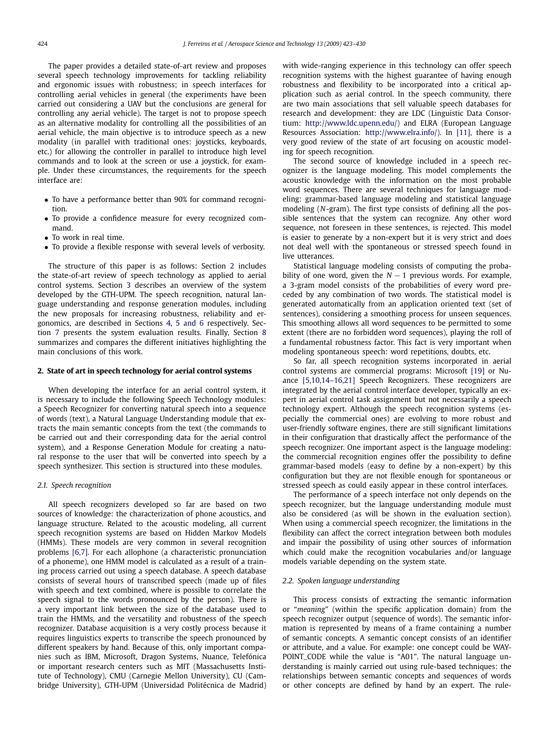The paper provides a detailed state-of-art review and proposes several speech technology improvements for tackling reliability and ergonomic issues with robustness; in speech interfaces for controlling aerial vehicles in general (the experiments have been carried out considering a UAV but the conclusions are general for controlling any aerial vehicle). The target is not to propose speech as an alternative modality for controlling all the possibilities of an aerial vehicle, the main objective is to introduce speech as a new modality (in parallel with traditional ones: joysticks, keyboards, etc.) for allowing the controller in parallel to introduce high level commands and to look at the screen or use a joystick, for example. Under these circumstances, the requirements for the speech interface are:

- To have a performance better than 90% for command recognition.
- To provide a confidence measure for every recognized command.
- To work in real time.
- To provide a flexible response with several levels of verbosity.

The structure of this paper is as follows: Section 2 includes the state-of-art review of speech technology as applied to aerial control systems. Section [3](#page-2-0) describes an overview of the system developed by the GTH-UPM. The speech recognition, natural language understanding and response generation modules, including the new proposals for increasing robustness, reliability and ergonomics, are described in Sections [4, 5 and 6](#page-3-0) respectively. Section [7](#page-5-0) presents the system evaluation results. Finally, Section [8](#page-6-0) summarizes and compares the different initiatives highlighting the main conclusions of this work.

#### **2. State of art in speech technology for aerial control systems**

When developing the interface for an aerial control system, it is necessary to include the following Speech Technology modules: a Speech Recognizer for converting natural speech into a sequence of words (text), a Natural Language Understanding module that extracts the main semantic concepts from the text (the commands to be carried out and their corresponding data for the aerial control system), and a Response Generation Module for creating a natural response to the user that will be converted into speech by a speech synthesizer. This section is structured into these modules.

#### *2.1. Speech recognition*

All speech recognizers developed so far are based on two sources of knowledge: the characterization of phone acoustics, and language structure. Related to the acoustic modeling, all current speech recognition systems are based on Hidden Markov Models (HMMs). These models are very common in several recognition problems [\[6,7\].](#page-7-0) For each allophone (a characteristic pronunciation of a phoneme), one HMM model is calculated as a result of a training process carried out using a speech database. A speech database consists of several hours of transcribed speech (made up of files with speech and text combined, where is possible to correlate the speech signal to the words pronounced by the person). There is a very important link between the size of the database used to train the HMMs, and the versatility and robustness of the speech recognizer. Database acquisition is a very costly process because it requires linguistics experts to transcribe the speech pronounced by different speakers by hand. Because of this, only important companies such as IBM, Microsoft, Dragon Systems, Nuance, Telefónica or important research centers such as MIT (Massachusetts Institute of Technology), CMU (Carnegie Mellon University), CU (Cambridge University), GTH-UPM (Universidad Politécnica de Madrid) with wide-ranging experience in this technology can offer speech recognition systems with the highest guarantee of having enough robustness and flexibility to be incorporated into a critical application such as aerial control. In the speech community, there are two main associations that sell valuable speech databases for research and development: they are LDC (Linguistic Data Consortium: <http://www.ldc.upenn.edu/>) and ELRA (European Language Resources Association: <http://www.elra.info/>). In [\[11\],](#page-7-0) there is a very good review of the state of art focusing on acoustic modeling for speech recognition.

The second source of knowledge included in a speech recognizer is the language modeling. This model complements the acoustic knowledge with the information on the most probable word sequences. There are several techniques for language modeling: grammar-based language modeling and statistical language modeling (*N*-gram). The first type consists of defining all the possible sentences that the system can recognize. Any other word sequence, not foreseen in these sentences, is rejected. This model is easier to generate by a non-expert but it is very strict and does not deal well with the spontaneous or stressed speech found in live utterances.

Statistical language modeling consists of computing the probability of one word, given the  $N-1$  previous words. For example, a 3-gram model consists of the probabilities of every word preceded by any combination of two words. The statistical model is generated automatically from an application oriented text (set of sentences), considering a smoothing process for unseen sequences. This smoothing allows all word sequences to be permitted to some extent (there are no forbidden word sequences), playing the roll of a fundamental robustness factor. This fact is very important when modeling spontaneous speech: word repetitions, doubts, etc.

So far, all speech recognition systems incorporated in aerial control systems are commercial programs: Microsoft [\[19\]](#page-7-0) or Nuance [\[5,10,14–16,21\]](#page-7-0) Speech Recognizers. These recognizers are integrated by the aerial control interface developer, typically an expert in aerial control task assignment but not necessarily a speech technology expert. Although the speech recognition systems (especially the commercial ones) are evolving to more robust and user-friendly software engines, there are still significant limitations in their configuration that drastically affect the performance of the speech recognizer. One important aspect is the language modeling: the commercial recognition engines offer the possibility to define grammar-based models (easy to define by a non-expert) by this configuration but they are not flexible enough for spontaneous or stressed speech as could easily appear in these control interfaces.

The performance of a speech interface not only depends on the speech recognizer, but the language understanding module must also be considered (as will be shown in the evaluation section). When using a commercial speech recognizer, the limitations in the flexibility can affect the correct integration between both modules and impair the possibility of using other sources of information which could make the recognition vocabularies and/or language models variable depending on the system state.

#### *2.2. Spoken language understanding*

This process consists of extracting the semantic information or "*meaning*" (within the specific application domain) from the speech recognizer output (sequence of words). The semantic information is represented by means of a frame containing a number of semantic concepts. A semantic concept consists of an identifier or attribute, and a value. For example: one concept could be WAY-POINT\_CODE while the value is "A01". The natural language understanding is mainly carried out using rule-based techniques: the relationships between semantic concepts and sequences of words or other concepts are defined by hand by an expert. The rule-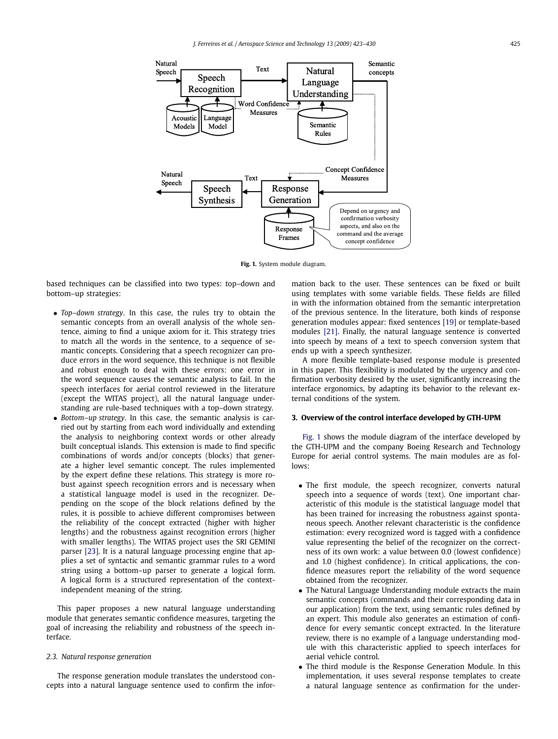<span id="page-2-0"></span>

**Fig. 1.** System module diagram.

based techniques can be classified into two types: top–down and bottom–up strategies:

- *Top–down strategy*. In this case, the rules try to obtain the semantic concepts from an overall analysis of the whole sentence, aiming to find a unique axiom for it. This strategy tries to match all the words in the sentence, to a sequence of semantic concepts. Considering that a speech recognizer can produce errors in the word sequence, this technique is not flexible and robust enough to deal with these errors: one error in the word sequence causes the semantic analysis to fail. In the speech interfaces for aerial control reviewed in the literature (except the WITAS project), all the natural language understanding are rule-based techniques with a top–down strategy.
- *Bottom–up strategy*. In this case, the semantic analysis is carried out by starting from each word individually and extending the analysis to neighboring context words or other already built conceptual islands. This extension is made to find specific combinations of words and/or concepts (blocks) that generate a higher level semantic concept. The rules implemented by the expert define these relations. This strategy is more robust against speech recognition errors and is necessary when a statistical language model is used in the recognizer. Depending on the scope of the block relations defined by the rules, it is possible to achieve different compromises between the reliability of the concept extracted (higher with higher lengths) and the robustness against recognition errors (higher with smaller lengths). The WITAS project uses the SRI GEMINI parser [\[23\].](#page-7-0) It is a natural language processing engine that applies a set of syntactic and semantic grammar rules to a word string using a bottom–up parser to generate a logical form. A logical form is a structured representation of the contextindependent meaning of the string.

This paper proposes a new natural language understanding module that generates semantic confidence measures, targeting the goal of increasing the reliability and robustness of the speech interface.

#### *2.3. Natural response generation*

The response generation module translates the understood concepts into a natural language sentence used to confirm the information back to the user. These sentences can be fixed or built using templates with some variable fields. These fields are filled in with the information obtained from the semantic interpretation of the previous sentence. In the literature, both kinds of response generation modules appear: fixed sentences [\[19\]](#page-7-0) or template-based modules [\[21\].](#page-7-0) Finally, the natural language sentence is converted into speech by means of a text to speech conversion system that ends up with a speech synthesizer.

A more flexible template-based response module is presented in this paper. This flexibility is modulated by the urgency and confirmation verbosity desired by the user, significantly increasing the interface ergonomics, by adapting its behavior to the relevant external conditions of the system.

### **3. Overview of the control interface developed by GTH-UPM**

Fig. 1 shows the module diagram of the interface developed by the GTH-UPM and the company Boeing Research and Technology Europe for aerial control systems. The main modules are as follows:

- The first module, the speech recognizer, converts natural speech into a sequence of words (text). One important characteristic of this module is the statistical language model that has been trained for increasing the robustness against spontaneous speech. Another relevant characteristic is the confidence estimation: every recognized word is tagged with a confidence value representing the belief of the recognizer on the correctness of its own work: a value between 0.0 (lowest confidence) and 1.0 (highest confidence). In critical applications, the confidence measures report the reliability of the word sequence obtained from the recognizer.
- The Natural Language Understanding module extracts the main semantic concepts (commands and their corresponding data in our application) from the text, using semantic rules defined by an expert. This module also generates an estimation of confidence for every semantic concept extracted. In the literature review, there is no example of a language understanding module with this characteristic applied to speech interfaces for aerial vehicle control.
- The third module is the Response Generation Module. In this implementation, it uses several response templates to create a natural language sentence as confirmation for the under-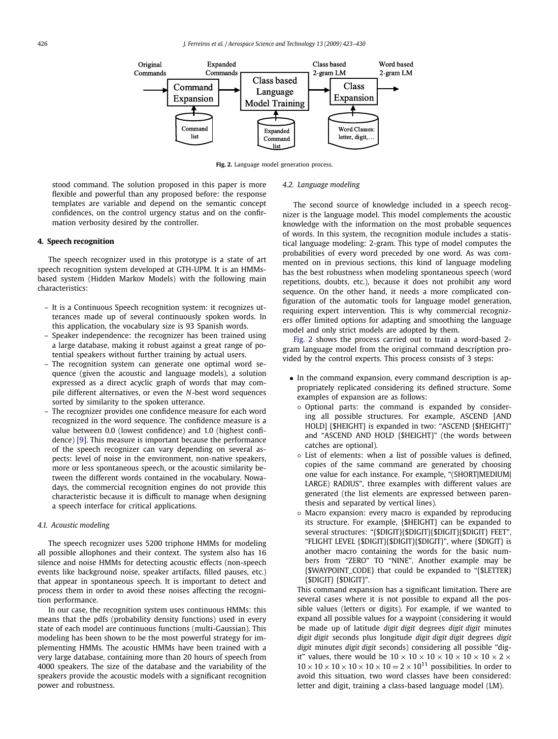<span id="page-3-0"></span>

**Fig. 2.** Language model generation process.

stood command. The solution proposed in this paper is more flexible and powerful than any proposed before: the response templates are variable and depend on the semantic concept confidences, on the control urgency status and on the confirmation verbosity desired by the controller.

#### **4. Speech recognition**

The speech recognizer used in this prototype is a state of art speech recognition system developed at GTH-UPM. It is an HMMsbased system (Hidden Markov Models) with the following main characteristics:

- It is a Continuous Speech recognition system: it recognizes utterances made up of several continuously spoken words. In this application, the vocabulary size is 93 Spanish words.
- Speaker independence: the recognizer has been trained using a large database, making it robust against a great range of potential speakers without further training by actual users.
- The recognition system can generate one optimal word sequence (given the acoustic and language models), a solution expressed as a direct acyclic graph of words that may compile different alternatives, or even the *N*-best word sequences sorted by similarity to the spoken utterance.
- The recognizer provides one confidence measure for each word recognized in the word sequence. The confidence measure is a value between 0.0 (lowest confidence) and 1.0 (highest confidence) [\[9\].](#page-7-0) This measure is important because the performance of the speech recognizer can vary depending on several aspects: level of noise in the environment, non-native speakers, more or less spontaneous speech, or the acoustic similarity between the different words contained in the vocabulary. Nowadays, the commercial recognition engines do not provide this characteristic because it is difficult to manage when designing a speech interface for critical applications.

#### *4.1. Acoustic modeling*

The speech recognizer uses 5200 triphone HMMs for modeling all possible allophones and their context. The system also has 16 silence and noise HMMs for detecting acoustic effects (non-speech events like background noise, speaker artifacts, filled pauses, etc.) that appear in spontaneous speech. It is important to detect and process them in order to avoid these noises affecting the recognition performance.

In our case, the recognition system uses continuous HMMs: this means that the pdfs (probability density functions) used in every state of each model are continuous functions (multi-Gaussian). This modeling has been shown to be the most powerful strategy for implementing HMMs. The acoustic HMMs have been trained with a very large database, containing more than 20 hours of speech from 4000 speakers. The size of the database and the variability of the speakers provide the acoustic models with a significant recognition power and robustness.

#### *4.2. Language modeling*

The second source of knowledge included in a speech recognizer is the language model. This model complements the acoustic knowledge with the information on the most probable sequences of words. In this system, the recognition module includes a statistical language modeling: 2-gram. This type of model computes the probabilities of every word preceded by one word. As was commented on in previous sections, this kind of language modeling has the best robustness when modeling spontaneous speech (word repetitions, doubts, etc.), because it does not prohibit any word sequence. On the other hand, it needs a more complicated configuration of the automatic tools for language model generation, requiring expert intervention. This is why commercial recognizers offer limited options for adapting and smoothing the language model and only strict models are adopted by them.

Fig. 2 shows the process carried out to train a word-based 2 gram language model from the original command description provided by the control experts. This process consists of 3 steps:

- In the command expansion, every command description is appropriately replicated considering its defined structure. Some examples of expansion are as follows:
	- Optional parts: the command is expanded by considering all possible structures. For example, ASCEND [AND HOLD] {\$HEIGHT} is expanded in two: "ASCEND {\$HEIGHT}" and "ASCEND AND HOLD {\$HEIGHT}" (the words between catches are optional).
	- List of elements: when a list of possible values is defined, copies of the same command are generated by choosing one value for each instance. For example, "(SHORT|MEDIUM| LARGE) RADIUS", three examples with different values are generated (the list elements are expressed between parenthesis and separated by vertical lines).
	- Macro expansion: every macro is expanded by reproducing its structure. For example, {\$HEIGHT} can be expanded to several structures: "{\$DIGIT}{\$DIGIT}{\$DIGIT}{\$DIGIT} FEET", "FLIGHT LEVEL {\$DIGIT}{\$DIGIT}{\$DIGIT}", where {\$DIGIT} is another macro containing the words for the basic numbers from "ZERO" TO "NINE". Another example may be {\$WAYPOINT\_CODE} that could be expanded to "{\$LETTER} {\$DIGIT} {\$DIGIT}".

This command expansion has a significant limitation. There are several cases where it is not possible to expand all the possible values (letters or digits). For example, if we wanted to expand all possible values for a waypoint (considering it would be made up of latitude *digit digit* degrees *digit digit* minutes *digit digit* seconds plus longitude *digit digit digit* degrees *digit digit* minutes *digit digit* seconds) considering all possible "digit" values, there would be  $10 \times 10 \times 10 \times 10 \times 10 \times 2 \times$  $10 \times 10 \times 10 \times 10 \times 10 \times 10 = 2 \times 10^{11}$  possibilities. In order to avoid this situation, two word classes have been considered: letter and digit, training a class-based language model (LM).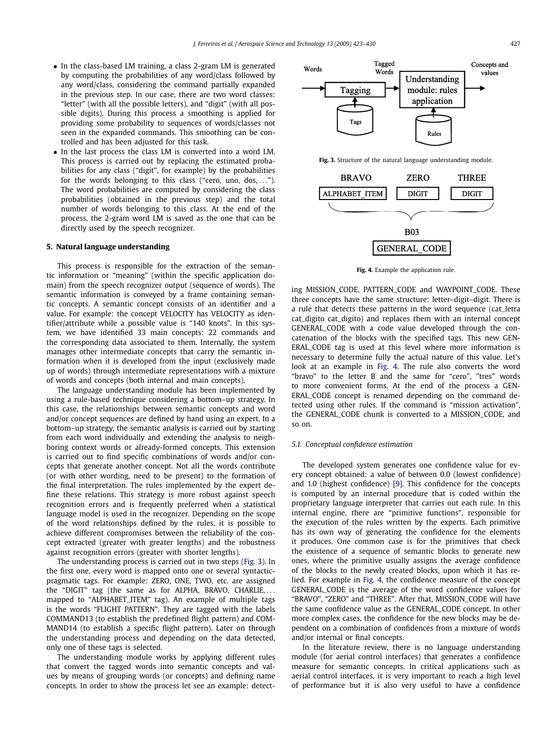- In the class-based LM training, a class 2-gram LM is generated by computing the probabilities of any word/class followed by any word/class, considering the command partially expanded in the previous step. In our case, there are two word classes: "letter" (with all the possible letters), and "digit" (with all possible digits). During this process a smoothing is applied for providing some probability to sequences of words/classes not seen in the expanded commands. This smoothing can be controlled and has been adjusted for this task.
- In the last process the class LM is converted into a word LM. This process is carried out by replacing the estimated probabilities for any class ("digit", for example) by the probabilities for the words belonging to this class ("cero, uno, dos, *...*"). The word probabilities are computed by considering the class probabilities (obtained in the previous step) and the total number of words belonging to this class. At the end of the process, the 2-gram word LM is saved as the one that can be directly used by the speech recognizer.

#### **5. Natural language understanding**

This process is responsible for the extraction of the semantic information or "meaning" (within the specific application domain) from the speech recognizer output (sequence of words). The semantic information is conveyed by a frame containing semantic concepts. A semantic concept consists of an identifier and a value. For example: the concept VELOCITY has VELOCITY as identifier/attribute while a possible value is "140 knots". In this system, we have identified 33 main concepts: 22 commands and the corresponding data associated to them. Internally, the system manages other intermediate concepts that carry the semantic information when it is developed from the input (exclusively made up of words) through intermediate representations with a mixture of words and concepts (both internal and main concepts).

The language understanding module has been implemented by using a rule-based technique considering a bottom–up strategy. In this case, the relationships between semantic concepts and word and/or concept sequences are defined by hand using an expert. In a bottom–up strategy, the semantic analysis is carried out by starting from each word individually and extending the analysis to neighboring context words or already-formed concepts. This extension is carried out to find specific combinations of words and/or concepts that generate another concept. Not all the words contribute (or with other wording, need to be present) to the formation of the final interpretation. The rules implemented by the expert define these relations. This strategy is more robust against speech recognition errors and is frequently preferred when a statistical language model is used in the recognizer. Depending on the scope of the word relationships defined by the rules, it is possible to achieve different compromises between the reliability of the concept extracted (greater with greater lengths) and the robustness against recognition errors (greater with shorter lengths).

The understanding process is carried out in two steps (Fig. 3). In the first one, every word is mapped onto one or several syntacticpragmatic tags. For example: ZERO, ONE, TWO, etc. are assigned the "DIGIT" tag (the same as for ALPHA, BRAVO, CHARLIE, *...* mapped to "ALPHABET\_ITEM" tag). An example of multiple tags is the words "FLIGHT PATTERN". They are tagged with the labels COMMAND13 (to establish the predefined flight pattern) and COM-MAND14 (to establish a specific flight pattern). Later on through the understanding process and depending on the data detected, only one of these tags is selected.

The understanding module works by applying different rules that convert the tagged words into semantic concepts and values by means of grouping words (or concepts) and defining name concepts. In order to show the process let see an example: detect-



**Fig. 4.** Example the application rule.

ing MISSION\_CODE, PATTERN\_CODE and WAYPOINT\_CODE. These three concepts have the same structure: letter–digit–digit. There is a rule that detects these patterns in the word sequence (cat\_letra cat\_digito cat\_digito) and replaces them with an internal concept GENERAL\_CODE with a code value developed through the concatenation of the blocks with the specified tags. This new GEN-ERAL\_CODE tag is used at this level where more information is necessary to determine fully the actual nature of this value. Let's look at an example in Fig. 4. The rule also converts the word "bravo" to the letter B and the same for "cero", "tres" words to more convenient forms. At the end of the process a GEN-ERAL\_CODE concept is renamed depending on the command detected using other rules. If the command is "mission activation", the GENERAL\_CODE chunk is converted to a MISSION\_CODE, and so on.

#### *5.1. Conceptual confidence estimation*

The developed system generates one confidence value for every concept obtained: a value of between 0.0 (lowest confidence) and 1.0 (highest confidence) [\[9\].](#page-7-0) This confidence for the concepts is computed by an internal procedure that is coded within the proprietary language interpreter that carries out each rule. In this internal engine, there are "primitive functions", responsible for the execution of the rules written by the experts. Each primitive has its own way of generating the confidence for the elements it produces. One common case is for the primitives that check the existence of a sequence of semantic blocks to generate new ones, where the primitive usually assigns the average confidence of the blocks to the newly created blocks, upon which it has relied. For example in Fig. 4, the confidence measure of the concept GENERAL\_CODE is the average of the word confidence values for "BRAVO", "ZERO" and "THREE". After that, MISSION\_CODE will have the same confidence value as the GENERAL\_CODE concept. In other more complex cases, the confidence for the new blocks may be dependent on a combination of confidences from a mixture of words and/or internal or final concepts.

In the literature review, there is no language understanding module (for aerial control interfaces) that generates a confidence measure for semantic concepts. In critical applications such as aerial control interfaces, it is very important to reach a high level of performance but it is also very useful to have a confidence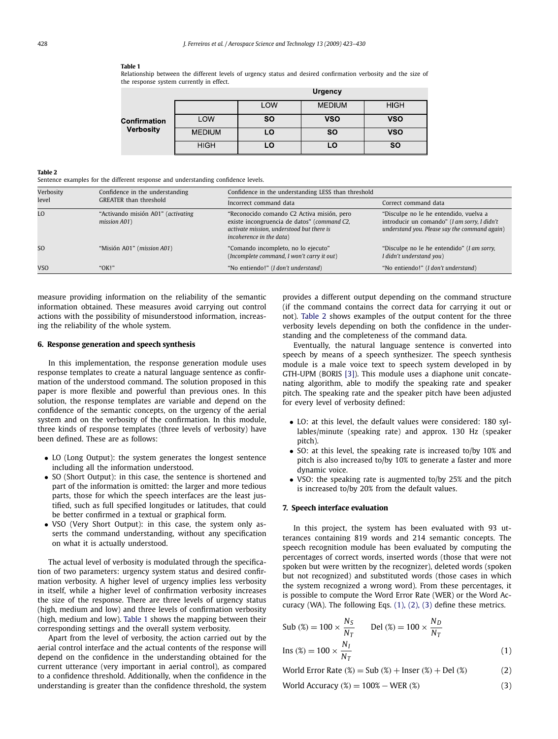#### <span id="page-5-0"></span>**Table 1**

Relationship between the different levels of urgency status and desired confirmation verbosity and the size of the response system currently in effect.

|                                  |               | Urgency   |               |             |
|----------------------------------|---------------|-----------|---------------|-------------|
|                                  |               | LOW       | <b>MEDIUM</b> | <b>HIGH</b> |
| Confirmation<br><b>Verbosity</b> | LOW           | <b>SO</b> | <b>VSO</b>    | <b>VSO</b>  |
|                                  | <b>MEDIUM</b> | LO        | <b>SO</b>     | <b>VSO</b>  |
|                                  | <b>HIGH</b>   | LO        | LO            | <b>SO</b>   |

#### **Table 2**

Sentence examples for the different response and understanding confidence levels.

| Verbosity<br>level | Confidence in the understanding<br><b>GREATER than threshold</b> | Confidence in the understanding LESS than threshold                                                                                                                |                                                                                                                                         |  |
|--------------------|------------------------------------------------------------------|--------------------------------------------------------------------------------------------------------------------------------------------------------------------|-----------------------------------------------------------------------------------------------------------------------------------------|--|
|                    |                                                                  | Incorrect command data                                                                                                                                             | Correct command data                                                                                                                    |  |
| LO                 | "Activando misión A01" (activating<br>mission A01)               | "Reconocido comando C2 Activa misión, pero<br>existe incongruencia de datos" (command C2,<br>activate mission, understood but there is<br>incoherence in the data) | "Disculpe no le he entendido, vuelva a<br>introducir un comando" (I am sorry, I didn't<br>understand you. Please say the command again) |  |
| <sub>SO</sub>      | "Misión A01" ( <i>mission A01</i> )                              | "Comando incompleto, no lo ejecuto"<br>(Incomplete command, I won't carry it out)                                                                                  | "Disculpe no le he entendido" (I am sorry,<br>I didn't understand you)                                                                  |  |
| <b>VSO</b>         | " $OK!$ "                                                        | "No entiendo!" (I don't understand)                                                                                                                                | "No entiendo!" (I don't understand)                                                                                                     |  |

measure providing information on the reliability of the semantic information obtained. These measures avoid carrying out control actions with the possibility of misunderstood information, increasing the reliability of the whole system.

#### **6. Response generation and speech synthesis**

In this implementation, the response generation module uses response templates to create a natural language sentence as confirmation of the understood command. The solution proposed in this paper is more flexible and powerful than previous ones. In this solution, the response templates are variable and depend on the confidence of the semantic concepts, on the urgency of the aerial system and on the verbosity of the confirmation. In this module, three kinds of response templates (three levels of verbosity) have been defined. These are as follows:

- LO (Long Output): the system generates the longest sentence including all the information understood.
- SO (Short Output): in this case, the sentence is shortened and part of the information is omitted: the larger and more tedious parts, those for which the speech interfaces are the least justified, such as full specified longitudes or latitudes, that could be better confirmed in a textual or graphical form.
- VSO (Very Short Output): in this case, the system only asserts the command understanding, without any specification on what it is actually understood.

The actual level of verbosity is modulated through the specification of two parameters: urgency system status and desired confirmation verbosity. A higher level of urgency implies less verbosity in itself, while a higher level of confirmation verbosity increases the size of the response. There are three levels of urgency status (high, medium and low) and three levels of confirmation verbosity (high, medium and low). Table 1 shows the mapping between their corresponding settings and the overall system verbosity.

Apart from the level of verbosity, the action carried out by the aerial control interface and the actual contents of the response will depend on the confidence in the understanding obtained for the current utterance (very important in aerial control), as compared to a confidence threshold. Additionally, when the confidence in the understanding is greater than the confidence threshold, the system provides a different output depending on the command structure (if the command contains the correct data for carrying it out or not). Table 2 shows examples of the output content for the three verbosity levels depending on both the confidence in the understanding and the completeness of the command data.

Eventually, the natural language sentence is converted into speech by means of a speech synthesizer. The speech synthesis module is a male voice text to speech system developed in by GTH-UPM (BORIS [\[3\]\)](#page-7-0). This module uses a diaphone unit concatenating algorithm, able to modify the speaking rate and speaker pitch. The speaking rate and the speaker pitch have been adjusted for every level of verbosity defined:

- LO: at this level, the default values were considered: 180 syllables/minute (speaking rate) and approx. 130 Hz (speaker pitch).
- SO: at this level, the speaking rate is increased to/by 10% and pitch is also increased to/by 10% to generate a faster and more dynamic voice.
- VSO: the speaking rate is augmented to/by 25% and the pitch is increased to/by 20% from the default values.

#### **7. Speech interface evaluation**

In this project, the system has been evaluated with 93 utterances containing 819 words and 214 semantic concepts. The speech recognition module has been evaluated by computing the percentages of correct words, inserted words (those that were not spoken but were written by the recognizer), deleted words (spoken but not recognized) and substituted words (those cases in which the system recognized a wrong word). From these percentages, it is possible to compute the Word Error Rate (WER) or the Word Accuracy (WA). The following Eqs. (1), (2), (3) define these metrics.

$$
\text{Sub } (\%) = 100 \times \frac{N_S}{N_T} \qquad \text{Del } (\%) = 100 \times \frac{N_D}{N_T}
$$
\n
$$
\text{Ins } (\%) = 100 \times \frac{N_I}{N_T} \tag{1}
$$

 $World Error Rate$  *(%)* = Sub *(%)* + Inser *(%)* + Del *(%)* (2)

World Accuracy *(*%*)* = 100% − WER *(*%*)* (3)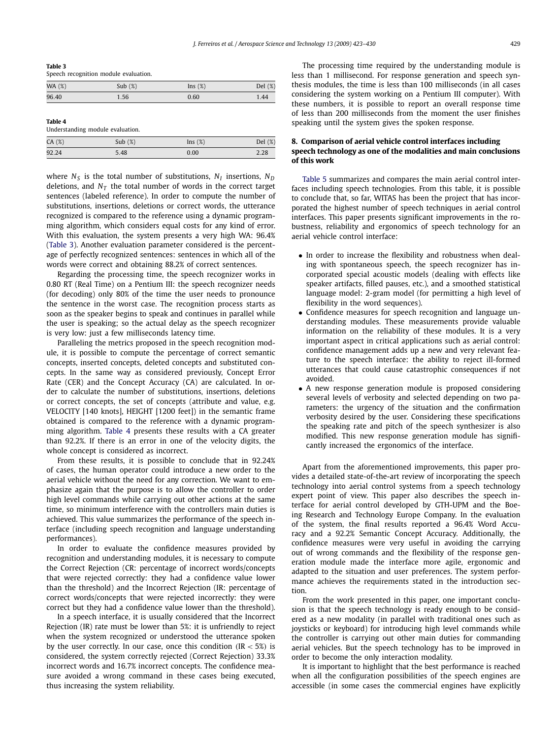<span id="page-6-0"></span>**Table 3** Speech recognition module evaluation.

| WA (%) | Sub $(\%)$ | Ins $(\%)$ | Del $(\%)$ |
|--------|------------|------------|------------|
| 96.40  | 1.56       | 0.60       | 1.44       |

#### **Table 4**

Understanding module evaluation.

| CA(%) | Sub $(\%)$ | Ins $(\%)$ | Del $(\%)$ |
|-------|------------|------------|------------|
| 92.24 | 5.48       | 0.00       | 2.28       |

where  $N_S$  is the total number of substitutions,  $N_I$  insertions,  $N_D$ deletions, and  $N<sub>T</sub>$  the total number of words in the correct target sentences (labeled reference). In order to compute the number of substitutions, insertions, deletions or correct words, the utterance recognized is compared to the reference using a dynamic programming algorithm, which considers equal costs for any kind of error. With this evaluation, the system presents a very high WA: 96.4% (Table 3). Another evaluation parameter considered is the percentage of perfectly recognized sentences: sentences in which all of the words were correct and obtaining 88.2% of correct sentences.

Regarding the processing time, the speech recognizer works in 0.80 RT (Real Time) on a Pentium III: the speech recognizer needs (for decoding) only 80% of the time the user needs to pronounce the sentence in the worst case. The recognition process starts as soon as the speaker begins to speak and continues in parallel while the user is speaking; so the actual delay as the speech recognizer is very low: just a few milliseconds latency time.

Paralleling the metrics proposed in the speech recognition module, it is possible to compute the percentage of correct semantic concepts, inserted concepts, deleted concepts and substituted concepts. In the same way as considered previously, Concept Error Rate (CER) and the Concept Accuracy (CA) are calculated. In order to calculate the number of substitutions, insertions, deletions or correct concepts, the set of concepts (attribute and value, e.g. VELOCITY [140 knots], HEIGHT [1200 feet]) in the semantic frame obtained is compared to the reference with a dynamic programming algorithm. Table 4 presents these results with a CA greater than 92.2%. If there is an error in one of the velocity digits, the whole concept is considered as incorrect.

From these results, it is possible to conclude that in 92.24% of cases, the human operator could introduce a new order to the aerial vehicle without the need for any correction. We want to emphasize again that the purpose is to allow the controller to order high level commands while carrying out other actions at the same time, so minimum interference with the controllers main duties is achieved. This value summarizes the performance of the speech interface (including speech recognition and language understanding performances).

In order to evaluate the confidence measures provided by recognition and understanding modules, it is necessary to compute the Correct Rejection (CR: percentage of incorrect words/concepts that were rejected correctly: they had a confidence value lower than the threshold) and the Incorrect Rejection (IR: percentage of correct words/concepts that were rejected incorrectly: they were correct but they had a confidence value lower than the threshold).

In a speech interface, it is usually considered that the Incorrect Rejection (IR) rate must be lower than 5%: it is unfriendly to reject when the system recognized or understood the utterance spoken by the user correctly. In our case, once this condition  $(IR < 5\%)$  is considered, the system correctly rejected (Correct Rejection) 33.3% incorrect words and 16.7% incorrect concepts. The confidence measure avoided a wrong command in these cases being executed, thus increasing the system reliability.

The processing time required by the understanding module is less than 1 millisecond. For response generation and speech synthesis modules, the time is less than 100 milliseconds (in all cases considering the system working on a Pentium III computer). With these numbers, it is possible to report an overall response time of less than 200 milliseconds from the moment the user finishes speaking until the system gives the spoken response.

#### **8. Comparison of aerial vehicle control interfaces including speech technology as one of the modalities and main conclusions of this work**

[Table 5](#page-7-0) summarizes and compares the main aerial control interfaces including speech technologies. From this table, it is possible to conclude that, so far, WITAS has been the project that has incorporated the highest number of speech techniques in aerial control interfaces. This paper presents significant improvements in the robustness, reliability and ergonomics of speech technology for an aerial vehicle control interface:

- In order to increase the flexibility and robustness when dealing with spontaneous speech, the speech recognizer has incorporated special acoustic models (dealing with effects like speaker artifacts, filled pauses, etc.), and a smoothed statistical language model: 2-gram model (for permitting a high level of flexibility in the word sequences).
- Confidence measures for speech recognition and language understanding modules. These measurements provide valuable information on the reliability of these modules. It is a very important aspect in critical applications such as aerial control: confidence management adds up a new and very relevant feature to the speech interface: the ability to reject ill-formed utterances that could cause catastrophic consequences if not avoided.
- A new response generation module is proposed considering several levels of verbosity and selected depending on two parameters: the urgency of the situation and the confirmation verbosity desired by the user. Considering these specifications the speaking rate and pitch of the speech synthesizer is also modified. This new response generation module has significantly increased the ergonomics of the interface.

Apart from the aforementioned improvements, this paper provides a detailed state-of-the-art review of incorporating the speech technology into aerial control systems from a speech technology expert point of view. This paper also describes the speech interface for aerial control developed by GTH-UPM and the Boeing Research and Technology Europe Company. In the evaluation of the system, the final results reported a 96.4% Word Accuracy and a 92.2% Semantic Concept Accuracy. Additionally, the confidence measures were very useful in avoiding the carrying out of wrong commands and the flexibility of the response generation module made the interface more agile, ergonomic and adapted to the situation and user preferences. The system performance achieves the requirements stated in the introduction section.

From the work presented in this paper, one important conclusion is that the speech technology is ready enough to be considered as a new modality (in parallel with traditional ones such as joysticks or keyboard) for introducing high level commands while the controller is carrying out other main duties for commanding aerial vehicles. But the speech technology has to be improved in order to become the only interaction modality.

It is important to highlight that the best performance is reached when all the configuration possibilities of the speech engines are accessible (in some cases the commercial engines have explicitly